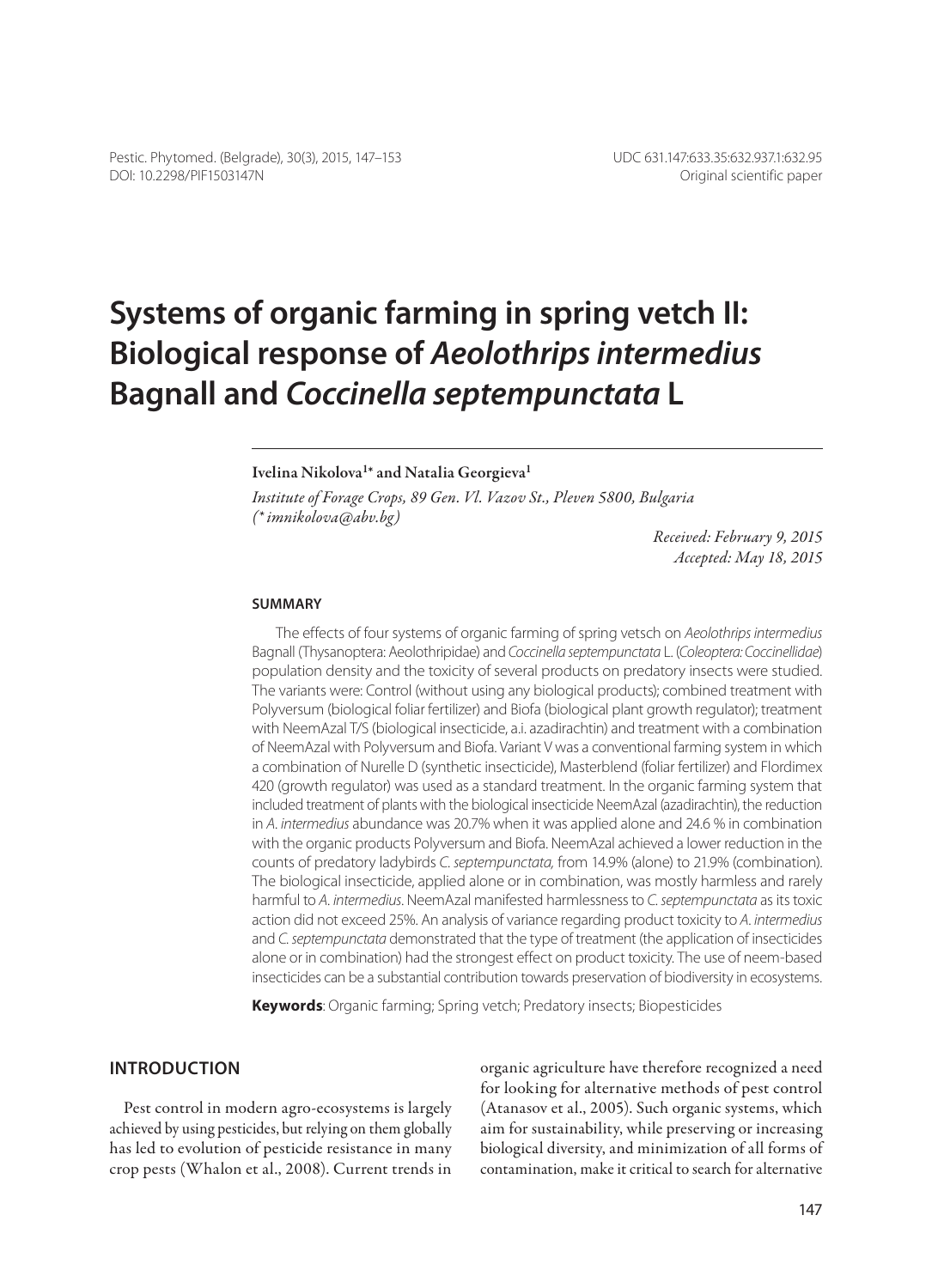# **Systems of organic farming in spring vetch II: Biological response of** *Aeolothrips intermedius* **Bagnall and** *Coccinella septempunctata* **L**

#### Ivelina Nikolova<sup>1\*</sup> and Natalia Georgieva<sup>1</sup>

*Institute of Forage Crops, 89 Gen. Vl. Vazov St., Pleven 5800, Bulgaria (\* imnikolova@abv.bg)*

> *Received: February 9, 2015 Accepted: May 18, 2015*

#### **Summary**

The effects of four systems of organic farming of spring vetsch on *Aeolothrips intermedius* Bagnall (Thysanoptera: Aeolothripidae) and *Coccinella septempunctata* L. (*Coleoptera: Coccinellidae*) population density and the toxicity of several products on predatory insects were studied. The variants were: Control (without using any biological products); combined treatment with Polyversum (biological foliar fertilizer) and Biofa (biological plant growth regulator); treatment with NeemAzal T/S (biological insecticide, a.i. azadirachtin) and treatment with a combination of NeemAzal with Polyversum and Biofa. Variant V was a conventional farming system in which a combination of Nurelle D (synthetic insecticide), Masterblend (foliar fertilizer) and Flordimex 420 (growth regulator) was used as a standard treatment. In the organic farming system that included treatment of plants with the biological insecticide NeemAzal (azadirachtin), the reduction in *A. intermedius* abundance was 20.7% when it was applied alone and 24.6 % in combination with the organic products Polyversum and Biofa. NeemAzal achieved a lower reduction in the counts of predatory ladybirds *C. septempunctata,* from 14.9% (alone) to 21.9% (combination). The biological insecticide, applied alone or in combination, was mostly harmless and rarely harmful to *A. intermedius*. NeemAzal manifested harmlessness to *C. septempunctata* as its toxic action did not exceed 25%. An analysis of variance regarding product toxicity to *A. intermedius* and *C. septempunctata* demonstrated that the type of treatment (the application of insecticides alone or in combination) had the strongest effect on product toxicity. Тhe use of neem-based insecticides can be a substantial contribution towards preservation of biodiversity in ecosystems.

**Keywords**: Organic farming; Spring vetch; Predatory insects; Biopesticides

## **Introduction**

Pest control in modern agro-ecosystems is largely achieved by using pesticides, but relying on them globally has led to evolution of pesticide resistance in many crop pests (Whalon et al., 2008). Current trends in organic agriculture have therefore recognized a need for looking for alternative methods of pest control (Atanasov et al., 2005). Such organic systems, which aim for sustainability, while preserving or increasing biological diversity, and minimization of all forms of contamination, make it critical to search for alternative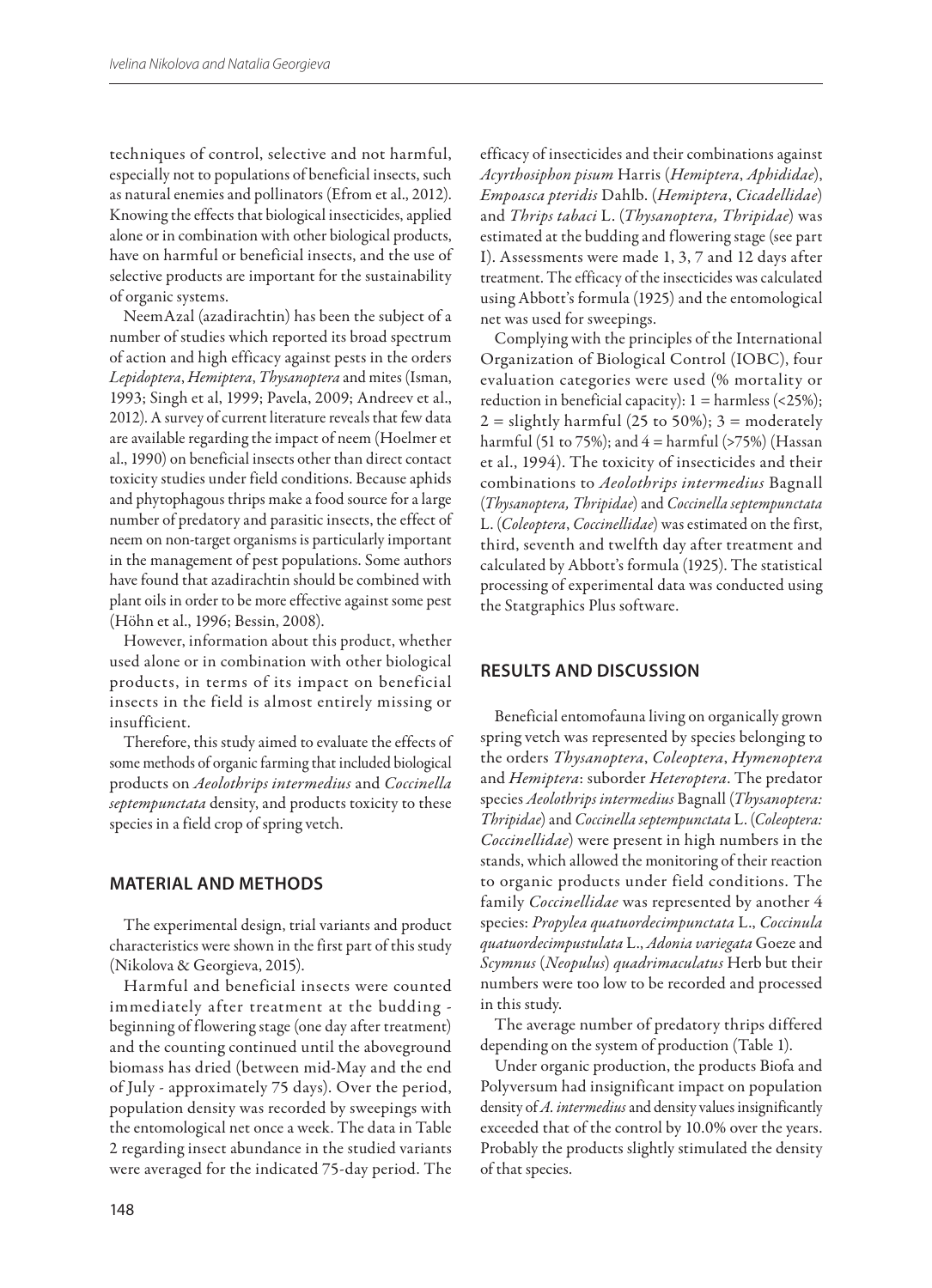techniques of control, selective and not harmful, especially not to populations of beneficial insects, such as natural enemies and pollinators (Efrom et al., 2012). Knowing the effects that biological insecticides, applied alone or in combination with other biological products, have on harmful or beneficial insects, and the use of selective products are important for the sustainability of organic systems.

NeemAzal (azadirachtin) has been the subject of a number of studies which reported its broad spectrum of action and high efficacy against pests in the orders *Lepidoptera*, *Hemiptera*, *Thysanoptera* and mites (Isman, 1993; Singh et al, 1999; Pavela, 2009; Andreev et al., 2012). A survey of current literature reveals that few data are available regarding the impact of neem (Hoelmer et al., 1990) оn beneficial insects other than direct contact toxicity studies under field conditions. Because aphids and phytophagous thrips make а food source for а large number of predatory and parasitic insects, the effect of neem оn non-target organisms is particularly important in the management of pest populations. Some authors have found that azadirachtin should be combined with plant oils in order to be more effective against some pest (Höhn et al., 1996; Bessin, 2008).

However, information about this product, whether used alone or in combination with other biological products, in terms of its impact on beneficial insects in the field is almost entirely missing or insufficient.

Therefore, this study aimed to evaluate the effects of some methods of organic farming that included biological products on *Aeolothrips intermedius* and *Coccinella septempunctata* density, and products toxicity to these species in a field crop of spring vetch.

## **Material and methods**

The experimental design, trial variants and product characteristics were shown in the first part of this study (Nikolova & Georgieva, 2015).

Harmful and beneficial insects were counted immediately after treatment at the budding beginning of flowering stage (one day after treatment) and the counting continued until the aboveground biomass has dried (between mid-May and the end of July - approximately 75 days). Over the period, population density was recorded by sweepings with the entomological net once a week. The data in Table 2 regarding insect abundance in the studied variants were averaged for the indicated 75-day period. The efficacy of insecticides and their combinations against *Acyrthosiphon pisum* Harris (*Hemiptera*, *Aphididae*), *Empoasca pteridis* Dahlb. (*Hemiptera*, *Cicadellidae*) and *Thrips tabaci* L. (*Thysanoptera, Thripidae*) was estimated at the budding and flowering stage (see part I). Assessments were made 1, 3, 7 and 12 days after treatment. The efficacy of the insecticides was calculated using Abbott's formula (1925) and the entomological net was used for sweepings.

Complying with the principles of the International Organization of Biological Control (IOBC), four evaluation categories were used (% mortality or reduction in beneficial capacity):  $1 =$  harmless (<25%);  $2 =$  slightly harmful (25 to 50%);  $3 =$  moderately harmful (51 to 75%); and  $4 =$  harmful (>75%) (Hassan et al., 1994). The toxicity of insecticides and their combinations to *Aeolothrips intermedius* Bagnall (*Thysanoptera, Thripidae*) and *Coccinella septempunctata*  L. (*Coleoptera*, *Coccinellidae*) was estimated on the first, third, seventh and twelfth day after treatment and calculated by Abbott's formula (1925). The statistical processing of experimental data was conducted using the Statgraphics Plus software.

## **Results and Discussion**

Beneficial entomofauna living on organically grown spring vetch was represented by species belonging to the orders *Thysanoptera*, *Coleoptera*, *Hymenoptera* and *Hemiptera*: suborder *Heteroptera*. The predator species *Aeolothrips intermedius* Bagnall (*Thysanoptera: Thripidae*) and *Coccinella septempunctata* L. (*Coleoptera: Coccinellidae*) were present in high numbers in the stands, which allowed the monitoring of their reaction to organic products under field conditions. The family *Coccinellidae* was represented by another 4 species: *Propylea quatuordecimpunctata* L., *Coccinula quatuordecimpustulata* L., *Adonia variegata* Goeze and *Scymnus* (*Neopulus*) *quadrimaculatus* Herb but their numbers were too low to be recorded and processed in this study.

The average number of predatory thrips differed depending on the system of production (Table 1).

Under organic production, the products Biofa and Polyversum had insignificant impact on population density of *A. intermedius* and density values insignificantly exceeded that of the control by 10.0% over the years. Probably the products slightly stimulated the density of that species.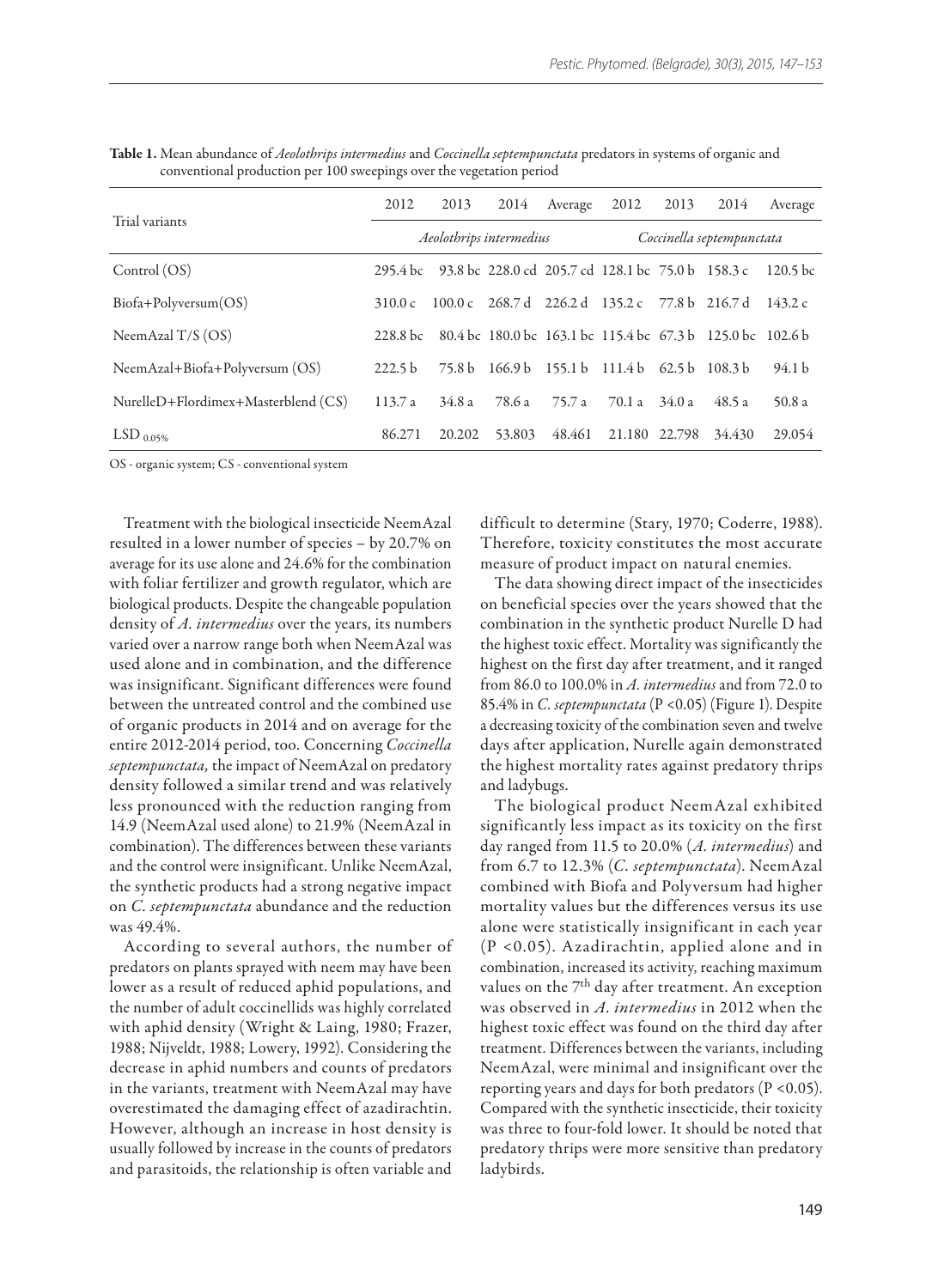| Trial variants                      | 2012                    | 2013   | 2014   | Average                                           | 2012                      | 2013   | 2014                                                       | Average             |
|-------------------------------------|-------------------------|--------|--------|---------------------------------------------------|---------------------------|--------|------------------------------------------------------------|---------------------|
|                                     | Aeolothrips intermedius |        |        |                                                   | Coccinella septempunctata |        |                                                            |                     |
| Control (OS)                        | 295.4 bc                |        |        | 93.8 bc 228.0 cd 205.7 cd 128.1 bc 75.0 b 158.3 c |                           |        |                                                            | 120.5 <sub>bc</sub> |
| $Biofa+Polyversum(OS)$              | 310.0 c                 |        |        |                                                   |                           |        | 100.0 c 268.7 d 226.2 d 135.2 c 77.8 b 216.7 d             | 143.2 c             |
| NeemAzal $T/S$ (OS)                 | 228.8 bc                |        |        |                                                   |                           |        | 80.4 bc 180.0 bc 163.1 bc 115.4 bc 67.3 b 125.0 bc 102.6 b |                     |
| NeemAzal+Biofa+Polyversum (OS)      | 222.5 <sub>b</sub>      |        |        | 75.8 b 166.9 b 155.1 b 111.4 b 62.5 b             |                           |        | 108.3 <sub>b</sub>                                         | 94.1 b              |
| NurelleD+Flordimex+Masterblend (CS) | 113.7a                  | 34.8a  | 78.6 a | 75.7 a                                            | 70.1 a                    | 34.0 a | 48.5 a                                                     | 50.8a               |
| LSD $_{0.05\%}$                     | 86.271                  | 20.202 | 53.803 | 48.461                                            | 21.180 22.798             |        | 34.430                                                     | 29.054              |

Table 1. Mean abundance of *Aeolothrips intermedius* and *Coccinella septempunctata* predators in systems of organic and conventional production per 100 sweepings over the vegetation period

OS - organic system; CS - conventional system

Treatment with the biological insecticide NeemAzal resulted in a lower number of species – by 20.7% on average for its use alone and 24.6% for the combination with foliar fertilizer and growth regulator, which are biological products. Despite the changeable population density of *A. intermedius* over the years, its numbers varied over a narrow range both when NeemAzal was used alone and in combination, and the difference was insignificant. Significant differences were found between the untreated control and the combined use of organic products in 2014 and on average for the entire 2012-2014 period, too. Concerning *Coccinella septempunctata,* the impact of NееmАzal on predatory density followed a similar trend and was relatively less pronounced with the reduction ranging from 14.9 (NeemAzal used alone) to 21.9% (NeemAzal in combination). The differences between these variants and the control were insignificant. Unlike NeemAzal, the synthetic products had a strong negative impact on *C. septempunctata* abundance and the reduction was 49.4%.

According to several authors, the number of predators оn plants sprayed with neem mау have bееn lower аs а result of reduced aphid populations, and the number of adult coccinellids was highly correlated with aphid density (Wright & Laing, 1980; Frazer, 1988; Nijveldt, 1988; Lowery, 1992). Considering the decrease in aphid numbers and counts of predators in the variants, treatment with NeemAzal mау have overestimated the damaging effect of azadirachtin. However, although an increase in host density is usually followed bу increase in the counts of predators and parasitoids, the relationship is often variable and difficult to determine (Stary, 1970; Coderre, 1988). Therefore, toxicity constitutes the most accurate measure of product impact оn natural enemies.

The data showing direct impact of the insecticides on beneficial species over the years showed that the combination in the synthetic product Nurelle D had the highest toxic effect. Mortality was significantly the highest on the first day after treatment, and it ranged from 86.0 to 100.0% in *A. intermedius* and from 72.0 to 85.4% in *C. septempunctata* (P <0.05) (Figure 1). Despite a decreasing toxicity of the combination seven and twelve days after application, Nurelle again demonstrated the highest mortality rates against predatory thrips and ladybugs.

The biological product NeemAzal exhibited significantly less impact as its toxicity on the first day ranged from 11.5 to 20.0% (*A. intermedius*) and from 6.7 to 12.3% (*C. septempunctata*). NeemAzal combined with Biofa and Polyversum had higher mortality values but the differences versus its use alone were statistically insignificant in each year (P <0.05). Azadirachtin, applied alone and in combination, increased its activity, reaching maximum values on the  $7<sup>th</sup>$  day after treatment. An exception was observed in *A. intermedius* in 2012 when the highest toxic effect was found on the third day after treatment. Differences between the variants, including NeemAzal, were minimal and insignificant over the reporting years and days for both predators  $(P < 0.05)$ . Compared with the synthetic insecticide, their toxicity was three to four-fold lower. It should be noted that predatory thrips were more sensitive than predatory ladybirds.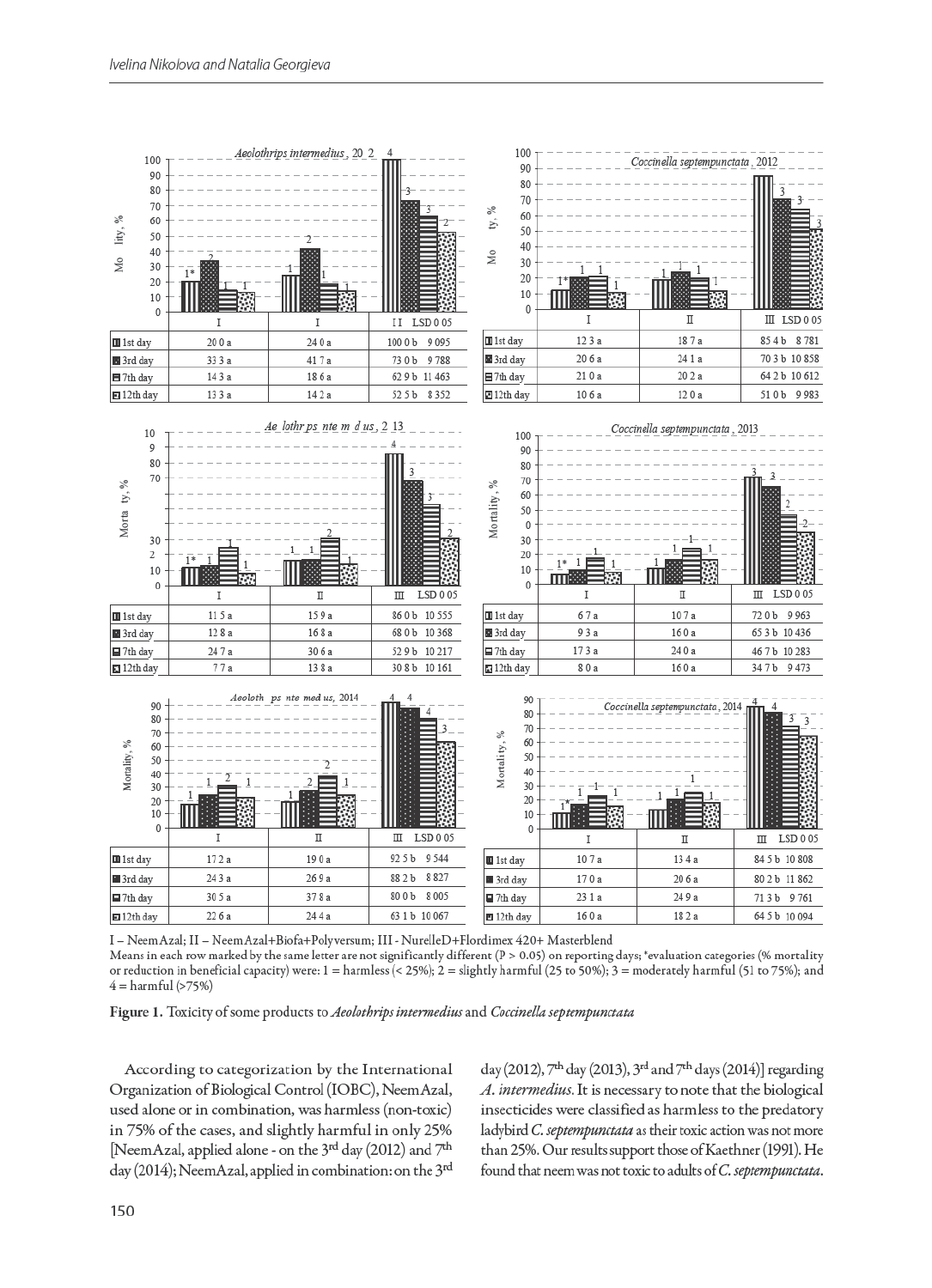

I – Neem Azal; II – Neem Azal+Biofa+Polyversum; III - NurelleD+Flordimex 420+ Masterblend Means in each row marked by the same letter are not significantly different (P > 0.05) on reporting days; \*evaluation categories (% mortality or reduction in beneficial capacity) were:  $1 =$  harmless (< 25%);  $2 =$  slightly harmful (25 to 50%);  $3 =$  moderately harmful (51 to 75%); and  $4 = \text{harmful} (>75%)$ 

Figure 1. Toxicity of some products to Aeolothrips intermedius and Coccinella septempunctata

According to categorization by the International Organization of Biological Control (IOBC), NeemAzal, used alone or in combination, was harmless (non-toxic) in 75% of the cases, and slightly harmful in only 25% [NeemAzal, applied alone - on the 3rd day (2012) and 7<sup>th</sup> day (2014); NeemAzal, applied in combination: on the 3rd day (2012),  $7<sup>th</sup>$  day (2013),  $3<sup>rd</sup>$  and  $7<sup>th</sup>$  days (2014)] regarding A. intermedius. It is necessary to note that the biological insecticides were classified as harmless to the predatory ladybird C. septempunctata as their toxic action was not more than 25%. Our results support those of Kaethner (1991). He found that neem was not toxic to adults of C. septempunctata.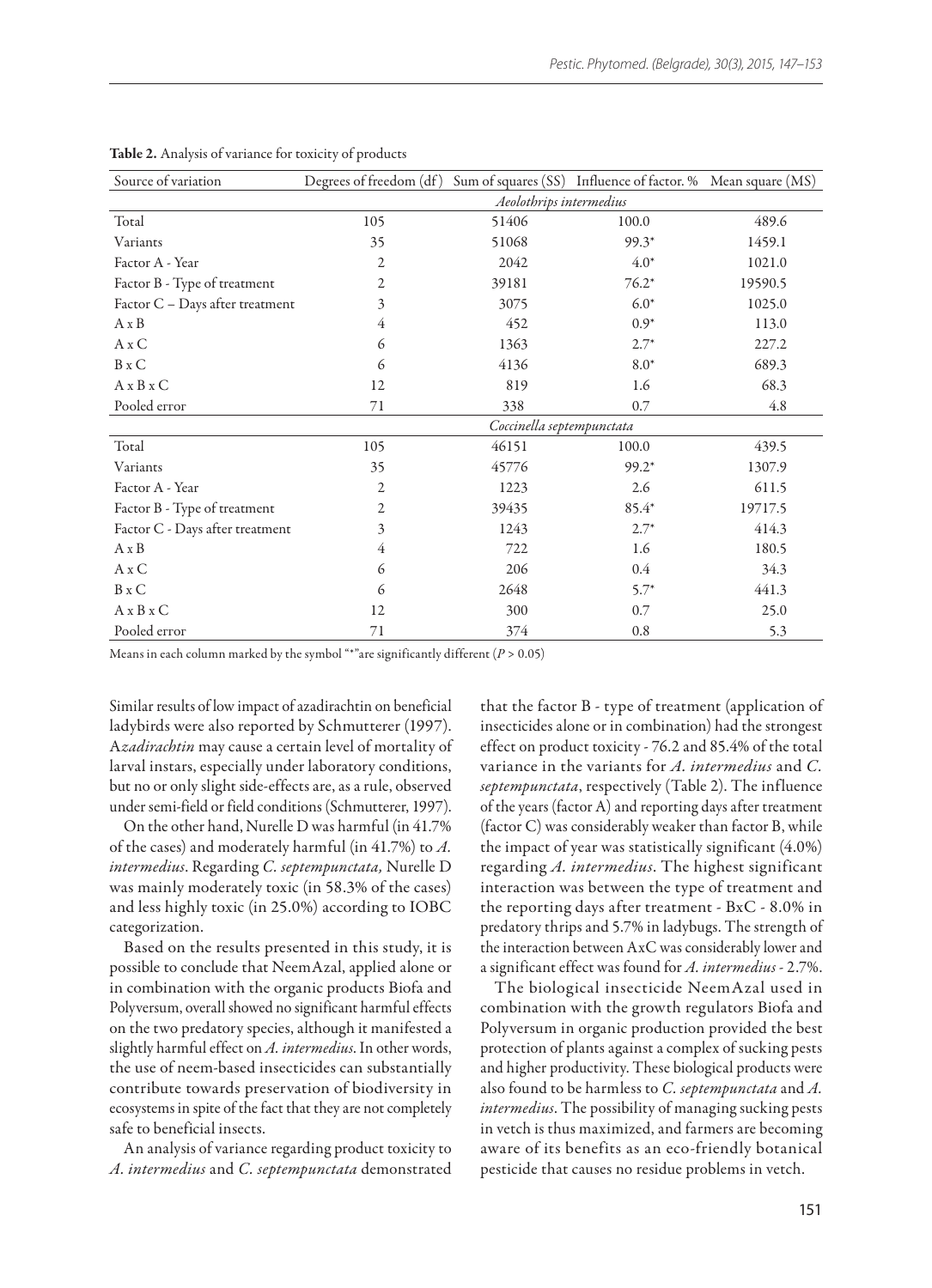| Source of variation             | Degrees of freedom (df) Sum of squares (SS) Influence of factor. % Mean square (MS) |       |         |         |  |  |  |  |
|---------------------------------|-------------------------------------------------------------------------------------|-------|---------|---------|--|--|--|--|
|                                 | Aeolothrips intermedius                                                             |       |         |         |  |  |  |  |
| Total                           | 105                                                                                 | 51406 | 100.0   | 489.6   |  |  |  |  |
| Variants                        | 35                                                                                  | 51068 | $99.3*$ | 1459.1  |  |  |  |  |
| Factor A - Year                 | $\overline{2}$                                                                      | 2042  | $4.0*$  | 1021.0  |  |  |  |  |
| Factor B - Type of treatment    | 2                                                                                   | 39181 | $76.2*$ | 19590.5 |  |  |  |  |
| Factor C - Days after treatment | 3                                                                                   | 3075  | $6.0*$  | 1025.0  |  |  |  |  |
| $A \times B$                    | $\overline{4}$                                                                      | 452   | $0.9*$  | 113.0   |  |  |  |  |
| $A \times C$                    | 6                                                                                   | 1363  | $2.7*$  | 227.2   |  |  |  |  |
| $B \times C$                    | 6                                                                                   | 4136  | $8.0*$  | 689.3   |  |  |  |  |
| A x B x C                       | 12                                                                                  | 819   | 1.6     | 68.3    |  |  |  |  |
| Pooled error                    | 71                                                                                  | 338   | 0.7     | 4.8     |  |  |  |  |
|                                 | Coccinella septempunctata                                                           |       |         |         |  |  |  |  |
| Total                           | 105                                                                                 | 46151 | 100.0   | 439.5   |  |  |  |  |
| Variants                        | 35                                                                                  | 45776 | $99.2*$ | 1307.9  |  |  |  |  |
| Factor A - Year                 | 2                                                                                   | 1223  | 2.6     | 611.5   |  |  |  |  |
| Factor B - Type of treatment    | 2                                                                                   | 39435 | 85.4*   | 19717.5 |  |  |  |  |
| Factor C - Days after treatment | 3                                                                                   | 1243  | $2.7*$  | 414.3   |  |  |  |  |
| $A \times B$                    | $\overline{4}$                                                                      | 722   | 1.6     | 180.5   |  |  |  |  |
| $A \times C$                    | 6                                                                                   | 206   | $0.4\,$ | 34.3    |  |  |  |  |
| $B \times C$                    | 6                                                                                   | 2648  | $5.7*$  | 441.3   |  |  |  |  |
| $A \times B \times C$           | 12                                                                                  | 300   | 0.7     | 25.0    |  |  |  |  |
| Pooled error                    | 71                                                                                  | 374   | 0.8     | 5.3     |  |  |  |  |

#### Table 2. Analysis of variance for toxicity of products

Means in each column marked by the symbol "\*"are significantly different (*P* > 0.05)

Similar results of low impact of azadirachtin on beneficial ladybirds were also reported by Schmutterer (1997). A*zadirachtin* may cause a certain level of mortality of larval instars, especially under laboratory conditions, but no or only slight side-effects are, as a rule, observed under semi-field or field conditions (Schmutterer, 1997).

On the other hand, Nurelle D was harmful (in 41.7% of the cases) and moderately harmful (in 41.7%) to *A. intermedius*. Regarding *C. septempunctata,* Nurelle D was mainly moderately toxic (in 58.3% of the cases) and less highly toxic (in 25.0%) according to IOBC categorization.

Based on the results presented in this study, it is possible to conclude that NeemAzal, applied alone or in combination with the organic products Biofa and Polyversum, overall showed no significant harmful effects on the two predatory species, although it manifested a slightly harmful effect on *A. intermedius*. In other words, the use of neem-based insecticides can substantially contribute towards preservation of biodiversity in ecosystems in spite of the fact that they are not completely safe to beneficial insects.

An analysis of variance regarding product toxicity to *A. intermedius* and *C. septempunctata* demonstrated that the factor B - type of treatment (application of insecticides alone or in combination) had the strongest effect on product toxicity - 76.2 and 85.4% of the total variance in the variants for *A. intermedius* and *C. septempunctata*, respectively (Table 2). The influence of the years (factor A) and reporting days after treatment (factor C) was considerably weaker than factor B, while the impact of year was statistically significant (4.0%) regarding *A. intermedius*. The highest significant interaction was between the type of treatment and the reporting days after treatment - BxC - 8.0% in predatory thrips and 5.7% in ladybugs. The strength of the interaction between AxC was considerably lower and a significant effect was found for *A. intermedius* - 2.7%.

The biological insecticide NeemAzal used in combination with the growth regulators Biofa and Polyversum in organic production provided the best protection of plants against a complex of sucking pests and higher productivity. These biological products were also found to be harmless to *C. septempunctata* and *A. intermedius*. The possibility of managing sucking pests in vetch is thus maximized, and farmers are becoming aware of its benefits as an eco-friendly botanical pesticide that causes no residue problems in vetch.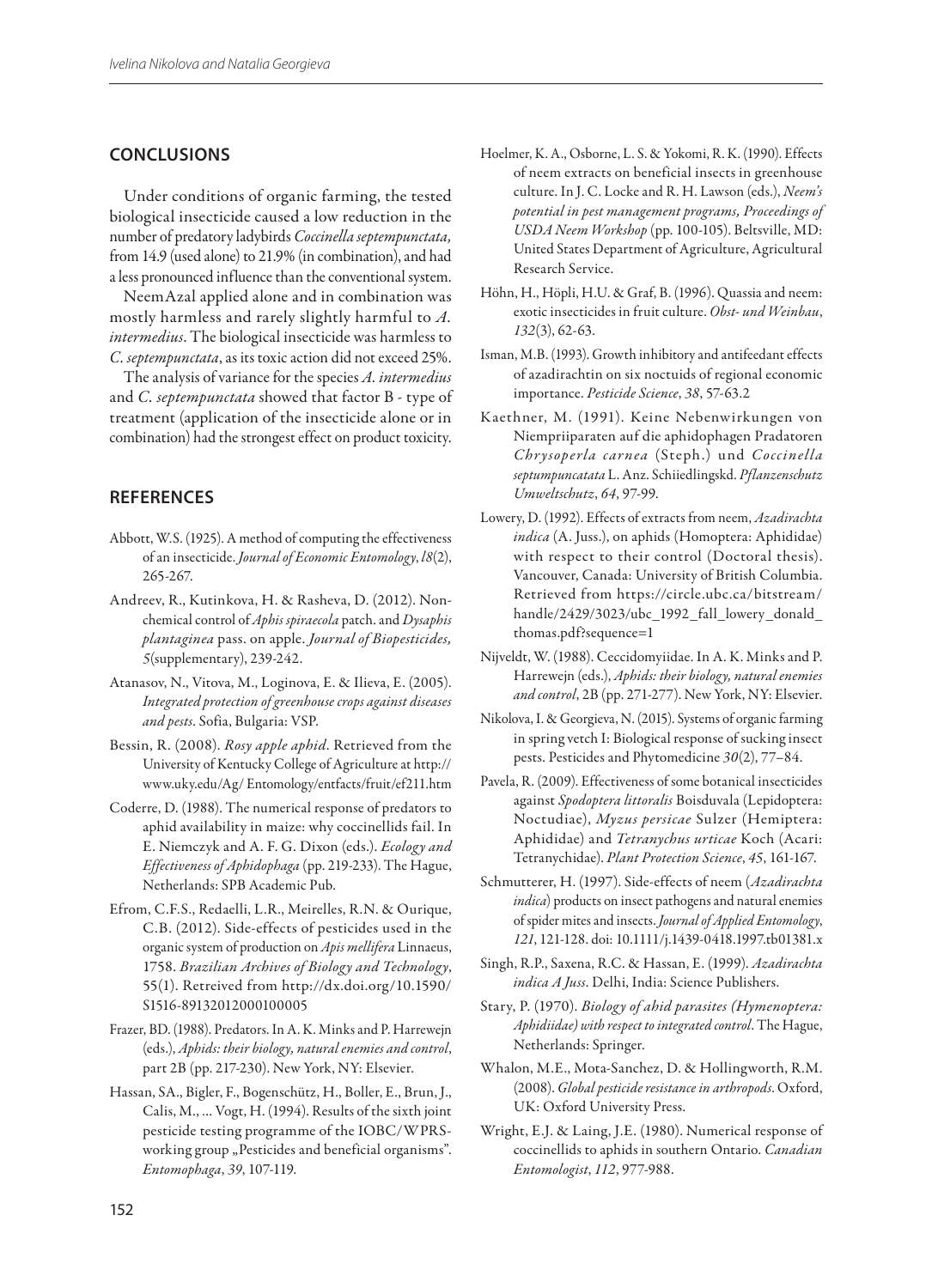## **Conclusions**

Under conditions of organic farming, the tested biological insecticide caused a low reduction in the number of predatory ladybirds *Coccinella septempunctata,* from 14.9 (used alone) to 21.9% (in combination), and had a less pronounced influence than the conventional system.

NeemAzal applied alone and in combination was mostly harmless and rarely slightly harmful to *A. intermedius*. The biological insecticide was harmless to *C. septempunctata*, as its toxic action did not exceed 25%.

The analysis of variance for the species *A. intermedius* and *C. septempunctata* showed that factor B - type of treatment (application of the insecticide alone or in combination) had the strongest effect on product toxicity.

### **REFERENCES**

- Abbott, W.S. (1925). A method of computing the effectiveness of an insecticide. *Journal of Economic Entomology*, *l8*(2), 265-267.
- Andreev, R., Kutinkova, H. & Rasheva, D. (2012). Nonchemical control of *Aphis spiraecola* patch. and *Dysaphis plantaginea* pass. on apple. *Journal of Biopesticides, 5*(supplementary), 239-242.
- Atanasov, N., Vitova, M., Loginova, E. & Ilieva, E. (2005). *Integrated protection of greenhouse crops against diseases and pests*. Sofia, Bulgaria: VSP.
- Bessin, R. (2008). *Rosy apple aphid*. Retrieved from the University of Kentucky College of Agriculture at http:// www.uky.edu/Ag/ Entomology/entfacts/fruit/ef211.htm
- Coderre, D. (1988). The numerical response of predators to aphid availability in maize: why coccinellids fail. In E. Niemczyk and A. F. G. Dixon (eds.). *Ecology and Effectiveness of Aphidophaga* (pp. 219-233). The Hague, Netherlands: SPB Academic Pub.
- Efrom, C.F.S., Redaelli, L.R., Meirelles, R.N. & Ourique, C.B. (2012). Side-effects of pesticides used in the organic system of production on *Apis mellifera* Linnaeus, 1758. *Brazilian Archives of Biology and Technology*, 55(1). Retreived from http://dx.doi.org/10.1590/ S1516-89132012000100005
- Frazer, BD. (1988). Predators. In A. K. Minks and P. Harrewejn (eds.), *Aphids: their biology, natural enemies and control*, part 2B (pp. 217-230). New York, NY: Elsevier.
- Hassan, SA., Bigler, F., Bogenschütz, H., Boller, E., Brun, J., Calis, M., … Vogt, H. (1994). Results of the sixth joint pesticide testing programme of the IOBC/WPRSworking group "Pesticides and beneficial organisms". *Entomophaga*, *39*, 107-119.
- Hoelmer, K. A., Osborne, L. S. & Yokomi, R. K. (1990). Effects of neem extracts on beneficial insects in greenhouse culture. In J. C. Locke and R. H. Lawson (eds.), *Neem's potential in pest management programs, Proceedings of USDA Neem Workshop* (pp. 100-105). Beltsville, MD: United States Department of Agriculture, Agricultural Research Service.
- Höhn, H., Höpli, H.U. & Graf, B. (1996). Quassia and neem: exotic insecticides in fruit culture. *Obst- und Weinbau*, *132*(3), 62-63.
- Isman, M.B. (1993). Growth inhibitory and antifeedant effects of azadirachtin on six noctuids of regional economic importance. *Pesticide Science*, *38*, 57-63.2
- Kaethner, M. (1991). Keine Nebenwirkungen von Niempriiparaten auf die aphidophagen Pradatoren *Chrysoperla carnea* (Steph.) und *Coccinella septumpuncatata* L. Anz. Schiiedlingskd. *Pflanzenschutz Umweltschutz*, *64*, 97-99.
- Lowery, D. (1992). Effects of extracts from neem, *Azadirachta indica* (A. Juss.), on aphids (Homoptera: Aphididae) with respect to their control (Doctoral thesis). Vancouver, Canada: University of British Columbia. Retrieved from https://circle.ubc.ca/bitstream/ handle/2429/3023/ubc\_1992\_fall\_lowery\_donald thomas.pdf?sequence=1
- Nijveldt, W. (1988). Ceccidomyiidae. In A. K. Minks and P. Harrewejn (eds.), *Aphids: their biology, natural enemies and control*, 2B (pp. 271-277). New York, NY: Elsevier.
- Nikolova, I. & Georgieva, N. (2015). Systems of organic farming in spring vetch I: Biological response of sucking insect pests. Pesticides and Phytomedicine *30*(2), 77–84.
- Pavela, R. (2009). Effectiveness of some botanical insecticides against *Spodoptera littoralis* Boisduvala (Lepidoptera: Noctudiae), *Myzus persicae* Sulzer (Hemiptera: Aphididae) and *Tetranychus urticae* Koch (Acari: Tetranychidae). *Plant Protection Science*, *45*, 161-167.
- Schmutterer, H. (1997). Side-effects of neem (*Azadirachta indica*) products on insect pathogens and natural enemies of spider mites and insects. *Journal of Applied Entomology*, *121*, 121-128. doi: 10.1111/j.1439-0418.1997.tb01381.x
- Singh, R.P., Saxena, R.C. & Hassan, E. (1999). *Azadirachta indica A Juss*. Delhi, India: Science Publishers.
- Stary, P. (1970). *Biology of ahid parasites (Hymenoptera: Aphidiidae) with respect to integrated control*. The Hague, Netherlands: Springer.
- Whalon, M.E., Mota-Sanchez, D. & Hollingworth, R.M. (2008). *Global pesticide resistance in arthropods*. Oxford, UK: Oxford University Press.
- Wright, E.J. & Laing, J.E. (1980). Numerical response of coccinellids to aphids in southern Ontario. *Canadian Entomologist*, *112*, 977-988.